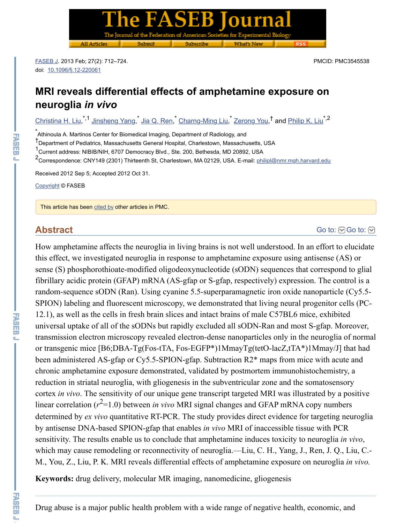### Christina H. Liu,<sup>\*,1</sup> Jinsheng Yang,<sup>\*</sup> Jia Q. Ren,<sup>\*</sup> Charng-Ming Liu,<sup>\*</sup> Zerong You,<sup>†</sup> and <u>Philip K.</u>

\*<br>Athinoula A. Martinos Center for Biomedical Imaging, Department of Radiology, and

<sup>†</sup>Department of Pediatrics, Massachusetts General Hospital, Charlestown, Massachusetts, USA

<sup>1</sup> Current address: NIBIB/NIH, 6707 Democracy Blvd., Ste. 200, Bethesda, MD 20892, USA

2<br>Correspondence: CNY149 (2301) Thirteenth St, Charlestown, MA 02129, USA. E-mail: philipl@nmr.mgh.harva

[Received](https://www.ncbi.nlm.nih.gov/pmc/articles/PMC3545538/#) 2012 Sep 5; Accepted 2012 Oct 31.

Cop[yright © FASEB](https://dx.doi.org/10.1096%2Ffj.12-220061)

This article has been cited by other articles in PMC.

### **[Abstract](https://www.ncbi.nlm.nih.gov/pubmed/?term=Liu%20CH%5BAuthor%5D&cauthor=true&cauthor_uid=23150521)**

How amphetamine affects the neuroglia in living brains is not well understood. In an this effect, we investigated neuroglia in response to amphetamine exposure using ant sense (S) phosphorothioate-modified oligodeoxynucleotide (sODN) sequences that c fibrillary acidic protein (GFAP) mRNA (AS-gfap or S-gfap, respectively) expression. random-sequence sODN (Ran). Using cyanine 5.5-superparamagnetic iron oxide nan [SPION\)](https://www.ncbi.nlm.nih.gov/pmc/about/copyright/) labeling and fluorescent microscopy, we demonstrated that living neural progenitors 12.1), as well as the cells in fresh brain slices and intact brains of male C57BL6 mice universal uptake [of all o](https://www.ncbi.nlm.nih.gov/pmc/articles/PMC3545538/citedby/)f the sODNs but rapidly excluded all sODN-Ran and most Stransmission electron microscopy revealed electron-dense nanoparticles only in the neuroglia of normal of normal of normal of normal of normal of normal of normal of normal of normal of normal of normal of normal of normal or transgenic mice  $[B6;DBA-Tg(Fos-tTA, Fos-EGFP*)1MmayTg(tetO-lacZ,tTA*)1]$ been administered AS-gfap or Cy5.5-SPION-gfap. Subtraction  $R2^*$  maps from mice chronic amphetamine exposure demonstrated, validated by postmortem immunohistochemistry, and the monotonemistry, and  $\alpha$ reduction in striatal neuroglia, with gliogenesis in the subventricular zone and the some cortex *in vivo*. The sensitivity of our unique gene transcript targeted MRI was illustration linear correlation ( $r^2$ =1.0) between *in vivo* MRI signal changes and GFAP mRNA co determined by *ex vivo* quantitative RT-PCR. The study provides direct evidence for ta by antisense DNA-based SPION-gfap that enables *in vivo* MRI of inaccessible tissue sensitivity. The results enable us to conclude that amphetamine induces toxicity to ne which may cause remodeling or reconnectivity of neuroglia.—Liu, C. H., Yang, J., R M., You, Z., Liu, P. K. MRI reveals differential effects of amphetamine exposure on n

**Keywords:** drug delivery, molecular MR imaging, nanomedicine, gliogenesis

Drug abuse is a major public health problem with a wide range of negative health, ec

平面而见

је.<br>.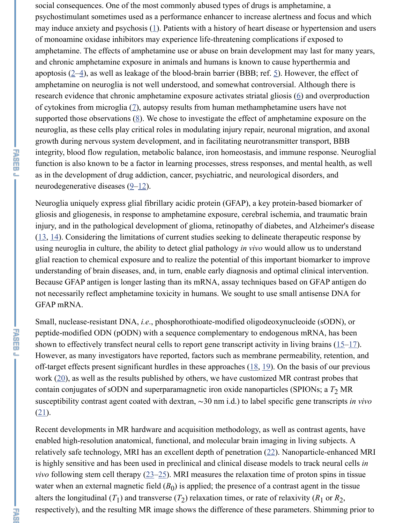supported those observations ( $\&$ ). We chose to investigate the effect of amphetamine neuroglia, as these cells play critical roles in modulating injury repair, neuronal migration, and axonal axonal axonal axonal axonal migration. growth during nervous system dev[elo](https://www.ncbi.nlm.nih.gov/pmc/articles/PMC3545538/#B1)pment, and in facilitating neurotransmitter trans integrity, blood flow regulation, metabolic balance, iron homeostasis, and immune re function is also known to be a factor in learning processes, stress responses, and men as in the development of drug addiction, cancer, psychiatric, and neurological disorders [ne](https://www.ncbi.nlm.nih.gov/pmc/articles/PMC3545538/#B2)urodegene[rat](https://www.ncbi.nlm.nih.gov/pmc/articles/PMC3545538/#B4)ive diseases  $(9-12)$ .

Neuroglia uniquely express glial fibrillary acidic protein (GFAP), a key protein-based gliosis and gliogenesis, in response to amphetamine exposure, cerebral ischemi[a,](https://www.ncbi.nlm.nih.gov/pmc/articles/PMC3545538/#B6) and injury, and in the pathologica[l d](https://www.ncbi.nlm.nih.gov/pmc/articles/PMC3545538/#B7)evelopment of glioma, retinopathy of diabetes, and A  $(13, 14)$ . Considering the limit[at](https://www.ncbi.nlm.nih.gov/pmc/articles/PMC3545538/#B8)ions of current studies seeking to delineate therapeut using neuroglia in culture, the ability to detect glial pathology *in vivo* would allow us glial reaction to chemical exposure and to realize the potential of this important biom understanding of brain diseases, and, in turn, enable early diagnosis and optimal clinical intervention. Because GFAP antigen is longer lasting than its mRNA, assay techniques based on G not necessarily reflect amphetamine toxicity in humans. We sought to use small antis GFAP mRNA.

Small, nuclease-resistant DNA, *i.e.*, phosphorothioate-modified oligodeoxynucleoide peptide-modified ODN (pODN) with a sequence complementary to endogenous mRI shown to effectively transfect neural cells to report gene transcript activity in living b [Ho](https://www.ncbi.nlm.nih.gov/pmc/articles/PMC3545538/#B13)[wev](https://www.ncbi.nlm.nih.gov/pmc/articles/PMC3545538/#B14)er, as many investigators have reported, factors such as membrane permeability off-target effects present significant hurdles in these approaches  $(18, 19)$ . On the basis work  $(20)$ , as well as the results published by others, we have customized MR contra contain conjugates of sODN and superparamagnetic iron oxide nanoparticles (SPIONs) susceptibility contrast agent coated with dextran,  $\sim$ 30 nm i.d.) to label specific gene transcripts *in vivo*  $(21)$ .

Recent developments in MR hardware and acquisition methodology, as well as contra enabled high-resolution anatomical, functional, and molecular brain imaging in living relatively safe technology, MRI has an excellent depth of penetration  $(22)$ . Nanoparticleis highly sensitive and has been used in preclinical and clinical disease models to track *vivo* following stem cell therapy  $(23-25)$ . MRI measures the relaxation time of proton water when an external magnetic field  $(B_0)$  is applied; the presen[ce](https://www.ncbi.nlm.nih.gov/pmc/articles/PMC3545538/#B18) [of a](https://www.ncbi.nlm.nih.gov/pmc/articles/PMC3545538/#B19) contrast ager alters [the](https://www.ncbi.nlm.nih.gov/pmc/articles/PMC3545538/#B20) longitudinal  $(T_1)$  and transverse  $(T_2)$  relaxation times, or rate of relaxivity ( respectively), and the resulting MR image shows the difference of these parameters.

忍頭

不安的印度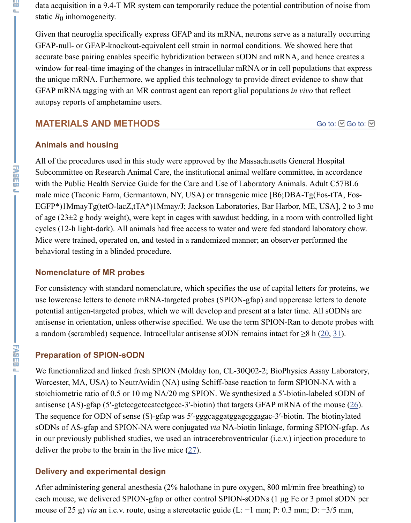## **Animals and housing**

All of the procedures used in this study were approved by the Massachusetts General Subcommittee on Research Animal Care, the institutional animal welfare committee. with the Public Health Service Guide for the Care and Use of Laboratory Animals. A male mice (Taconic Farm, Germantown, NY, USA) or transgenic mice [B6;DBA-Tg(Fost-Ta), Fost-EGFP\*)1MmayTg(tetO-lacZ,tTA\*)1Mmay/J; Jackson Laboratories, Bar Harbor, ME of age  $(23\pm 2$  g body weight), were kept in cages with sawdust bedding, in a room wi cycles (12-h light-dark). All animals had free access to water and were fed standard l Mice were trained, operated on, and tested in a randomized manner; an observer perf behavioral testing in a blinded procedure.

## **Nomenclature of MR probes**

For consistency with standard nomenclature, which specifies the use of capital letters use lowercase letters to denote mRNA-targeted probes (SPION-gfap) and uppercase letters to denote potential antigen-targeted probes, which we will develop and present at a later time. antisense in orientation, unless otherwise specified. We use the term SPION-Ran to denote a random (scrambled) sequence. Intracellular antisense sODN remains intact for  $\geq 8$  h

## **Preparation of SPION-sODN**

We functionalized and linked fresh SPION (Molday Ion, CL-30Q02-2; BioPhysics A Worcester, MA, USA) to NeutrAvidin (NA) using Schiff-base reaction to form SPIO stoichiometric ratio of  $0.5$  or 10 mg NA/20 mg SPION. We synthesized a 5'-biotin-la antisense (AS)-gfap (5'-gtctccgctccatcctgccc-3'-biotin) that targets GFAP mRNA of t The sequence for ODN of sense (S)-gfap was 5'-gggcaggatggagcggagac-3'-biotin. The sODNs of AS-gfap and SPION-NA were conjugated *via* NA-biotin linkage, forming in our previously published studies, we used an intracerebroventricular (i.c.v.) injection deliver the probe to the brain in the live mice  $(27)$ .

## **Delivery and experimental design**

After administering general anesthesia (2% halothane in pure oxygen, 800 ml/min free each mouse, we delivered SPION-gfap or other control SPION-sODNs (1 µg Fe or 3 mouse of 25 g) *via* an i.c.v. route, using a stereotactic guide (L: −1 mm; P: 0.3 mm; I

134808 と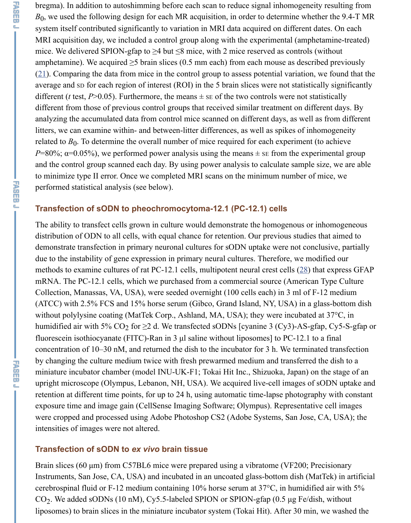analyzing the accumulated data from control mice scanned on different days, as well litters, we can examine within- and between-litter differences, as well as spikes of inh related to  $B_0$ . To determine the overall number of mice required for each experiment *P*=80%;  $\alpha$ =0.05%), we performed power analysis using the means  $\pm$  se from the experimental group. and the control group scanned each day. By using power analysis to calculate sample to minimize type II error. Once we completed MRI scans on the minimum number of [perf](https://www.ncbi.nlm.nih.gov/pmc/articles/PMC3545538/#B21)ormed statistical analysis (see below).

### **Transfection of sODN to pheochromocytoma-12.1 (PC-12.1) cells**

The ability to transfect cells grown in culture would demonstrate the homogenous or distribution of ODN to all cells, with equal chance for retention. Our previous studies demonstrate transfection in primary neuronal cultures for sODN uptake were not con due to the instability of gene expression in primary neural cultures. Therefore, we mo methods to examine cultures of rat PC-12.1 cells, multipotent neural crest cells  $(28)$  t mRNA. The PC-12.1 cells, which we purchased from a commercial source (American Collection, Manassas, VA, USA), were seeded overnight (100 cells each) in 3 ml of I (ATCC) with 2.5% FCS and 15% horse serum (Gibco, Grand Island, NY, USA) in a without polylysine coating (MatTek Corp., Ashland, MA, USA); they were incubated humidified air with 5%  $CO_2$  for  $\geq$  d. We transfected sODNs [cyanine 3 (Cy3)-AS-g fluorescein isothiocyanate (FITC)-Ran in  $3 \mu l$  saline without liposomes] to PC-12.1 t concentration of 10–30 nM, and returned the dish to the incubator for 3 h. We termin by changing the culture medium twice with fresh prewarmed medium and transferred miniature incubator chamber (model INU-UK-F1; Tokai Hit Inc., Shizuoka, Japan) o upright microscope (Olympus, Lebanon, NH, USA). We acquired live-cell imag[es o](https://www.ncbi.nlm.nih.gov/pmc/articles/PMC3545538/#B28)f retention at different time points, for up to 24 h, using automatic time-lapse photogra exposure time and image gain (CellSense Imaging Software; Olympus). Representati were cropped and processed using Adobe Photoshop CS2 (Adobe Systems, San Jose intensities of images were not altered.

## **Transfection of sODN to** *ex vivo* **brain tissue**

Brain slices (60  $\mu$ m) from C57BL6 mice were prepared using a vibratome (VF200; P Instruments, San Jose, CA, USA) and incubated in an uncoated glass-bottom dish (M cerebrospinal fluid or F-12 medium containing  $10\%$  horse serum at  $37^{\circ}$ C, in humidif CO<sub>2</sub>. We added sODNs (10 nM), Cy5.5-labeled SPION or SPION-gfap (0.5  $\mu$ g Fe/dish, without and without  $\mu$ liposomes) to brain slices in the miniature incubator system (Tokai Hit). After 30 min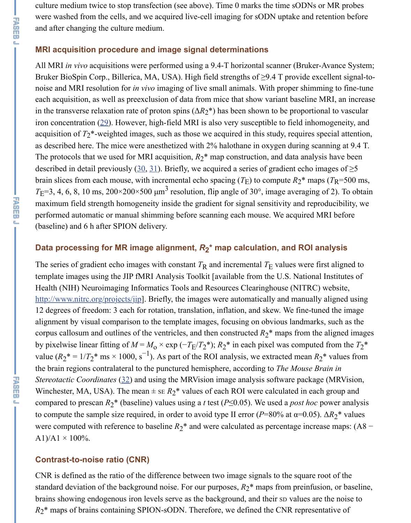iron concentration  $(29)$ . However, high-field MRI is also very susceptible to field inh acquisition of  $T_2^*$ -weighted images, such as those we acquired in this study, requires as described here. The mice were anesthetized with 2% halothane in oxygen during s The protocols that we used for MRI acquisition,  $R_2^*$  map construction, and data anal described in detail previously  $(30, 31)$ . Briefly, we acquired a series of gradient echo brain slices from each mouse, with incremental echo spacing  $(T_{\rm E})$  to compute  $R_2^*$  m  $T_{\rm E}$ =3, 4, 6, 8, 10 ms, 200×200×500  $\mu$ m<sup>3</sup> resolution, flip angle of 30°, image averaging maximum field strength homogeneity inside the gradient for signal sensitivity and reproducible. performed automatic or manual shimming before scanning each mouse. We acquired (baseline) and 6 h after SPION delivery. 3

## Data processing for MR image alignment,  $R_2^*$  map calculation, and ROI

The series of gradient echo images with constant  $T_R$  and incremental  $T_E$  values were template images using the JIP fMRI Analysis Toolkit [available from the U.S. Nation Health (NIH) Neuroimaging I[nfor](https://www.ncbi.nlm.nih.gov/pmc/articles/PMC3545538/#B30)[mat](https://www.ncbi.nlm.nih.gov/pmc/articles/PMC3545538/#B31)ics Tools and Resources Clearinghouse (NITRO) http://www.nitrc.org/projects/jip]. Briefly, the images were automatically and manual 12 degrees of freedom: 3 each for rotation, translation, inflation, and skew. We fine-t alignment by visual comparison to the template images, focusing on obvious landmarks, and as the template as the template images, focusing on obvious landmarks. corpus callosum and outlines of the ventricles, and then constructed  $R_2^*$  maps from t by pixelwise linear fitting of  $M = M_0 \times \exp(-T_E/T_2^*)$ ;  $R_2^*$  in each pixel was computed for  $T_E/T_2^*$ value ( $R_2^* = 1/T_2^*$  ms × 1000, s<sup>-1</sup>). As part of the ROI analysis, we extracted mean the brain regions contralateral to the punctured hemisphere, according to *The Mouse Stereotactic Coordinates* (32) and using the MRVision image analysis software packa Winchester, MA, USA). The mean  $\pm$  se  $R_2^*$  values of each ROI were calculated in each compared to prescan  $R_2^*$  (baseline) values using a *t* test ( $P \le 0.05$ ). We used a *post ho* [to compute the sample size requi](http://www.nitrc.org/projects/jip)red, in order to avoid type II error ( $P=80\%$  at  $\alpha=0.05$ ). were computed with reference to baseline  $R_2^*$  and were calculated as percentage increase A1)/A1  $\times$  100%.

### **Contrast-to-noise ratio (CNR)**

平面而興

CNR is defined as the ratio of the difference between two image signals to the square standard deviation of the background noise. For our purposes,  $R_2^*$  maps from preinfusion brains showing endogeno[us i](https://www.ncbi.nlm.nih.gov/pmc/articles/PMC3545538/#B32)ron levels serve as the background, and their sp values a  $R_2^*$  maps of brains containing SPION-sODN. Therefore, we defined the CNR repres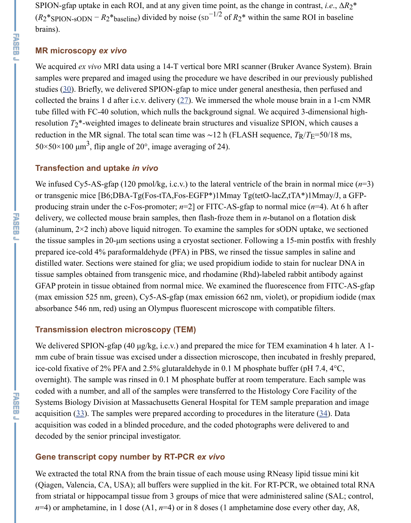resolution  $T_2^*$ -weighted images to delineate brain structures and visualize SPION, w reduction in the MR signal. The total scan time was ∼12 h (FLASH sequence,  $T_R/T_E$  $50\times50\times100 \ \mu m^3$ , flip angle of 20°, image averaging of 24).

#### **Transfection and uptake** *in vivo*

We infused Cy5-AS-gfap (120 pmol/kg, i.c.v.) to the lateral ventricle of the brain in n or transgenic mice [B6;DBA-Tg(Fos-tTA,Fos-EGFP\*)1Mmay Tg(tetO-lacZ,tTA\*)1M produci[ng s](https://www.ncbi.nlm.nih.gov/pmc/articles/PMC3545538/#B30)train under the c-Fos-promoter;  $n=2$  or FITC-AS-gfap to normal mice (*n* delivery, we collected mouse brain samples, [th](https://www.ncbi.nlm.nih.gov/pmc/articles/PMC3545538/#B27)en flash-froze them in  $n$ -butanol on a f (aluminum,  $2\times2$  inch) above liquid nitrogen. To examine the samples for sODN uptake, the tissue samples in 20-µm sections using a cryostat sectioner. Following a 15-min  $\mu$ prepared ice-cold 4% paraformaldehyde (PFA) in PBS, we rinsed the tissue samples distilled water. Sections were stained for glia; we used propidium iodide to stain for nuclear DNA in tissue samples obtained from transgenic mice, and rhodamine (Rhd)-labeled rabbit antibody and rhodamine (Rhd)-labeled rabbit and rhodamine against antibody and rhodamine against an GFAP protein in tissue obtained from normal mice. We examined the fluorescence from FITC-(max emission 525 nm, green), Cy5-AS-gfap (max emission 662 nm, violet), or prop absorbance 546 nm, red) using an Olympus fluorescent microscope with compatible

#### **Transmission electron microscopy (TEM)**

We delivered SPION-gfap (40 µg/kg, i.c.v.) and prepared the mice for TEM examina mm cube of brain tissue was excised under a dissection microscope, then incubated in ice-cold fixative of  $2\%$  PFA and  $2.5\%$  glutaraldehyde in 0.1 M phosphate buffer (pH overnight). The sample was rinsed in 0.1 M phosphate buffer at room temperature. E coded with a number, and all of the samples were transferred to the Histology Core F Systems Biology Division at Massachusetts General Hospital for TEM sample preparation and images of  $\overline{CD}$ acquisition  $(33)$ . The samples were prepared according to procedures in the literature acquisition was coded in a blinded procedure, and the coded photographs were deliver decoded by the senior principal investigator.

### **Gene transcript copy number by RT-PCR** *ex vivo*

We extracted the total RNA from the brain tissue of each mouse using RNeasy lipid to (Qiagen, Valencia, CA, USA); all buffers were supplied in the kit. For RT-PCR, we o from striatal or hippocampal tissue from 3 groups of mice that were administered sal  $n=4$ ) or amphetamine, in 1 dose (A1,  $n=4$ ) or in 8 doses (1 amphetamine dose every of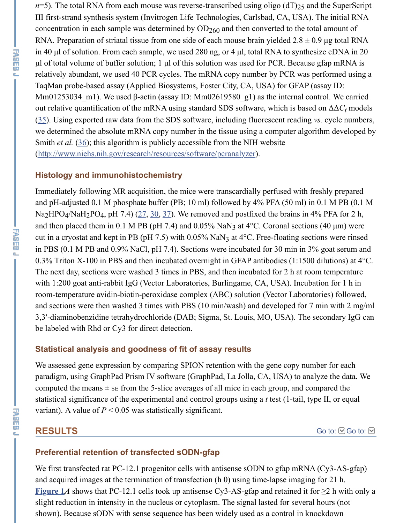(35). Using exported raw data from the SDS software, including fluorescent reading *variation* of the summer of  $\frac{1}{25}$ . we determined the absolute mRNA copy number in the tissue using a computer algorithm developed by Smith *et al.* (36); this algorithm is publicly accessible from the NIH website (http://www.niehs.nih.gov/research/resources/software/pcranalyzer).

## **Histology and immunohistochemistry**

Immediately following MR acquisition, the mice were transcardially perfused with free and pH-adjusted 0.1 M phosphate buffer (PB; 10 ml) followed by 4% PFA (50 ml) in  $Na<sub>2</sub>HPO<sub>4</sub>/NaH<sub>2</sub>PO<sub>4</sub>$ , pH 7.4) (27, 30, 37). We removed and postfixed the brains in 4 and then placed them in 0.1 M PB (pH 7.4) and  $0.05\%$  NaN<sub>3</sub> at 4°C. Coronal section [cut](https://www.ncbi.nlm.nih.gov/pmc/articles/PMC3545538/#B35) in a cryostat and kept in PB (pH 7.5) with  $0.05\%$  NaN<sub>3</sub> at 4°C. Free-floating sect in PBS (0.1 M PB and 0.9% NaCl, pH 7.4). Sections were incubated for 30 min in  $3\%$ 0.3% Triton [X-1](https://www.ncbi.nlm.nih.gov/pmc/articles/PMC3545538/#B36)00 in PBS and then incubated overnight in GFAP antibodies  $(1:1500$ [The next day, sections were washed 3 times in PBS, and then incub](http://www.niehs.nih.gov/research/resources/software/pcranalyzer)ated for 2 h at room. with 1:200 goat anti-rabbit IgG (Vector Laboratories, Burlingame, CA, USA). Incuba room-temperature avidin-biotin-peroxidase complex (ABC) solution (Vector Laborat and sections were then washed 3 times with PBS  $(10 \text{ min/wash})$  and developed for 7 3,3'-diaminobenzidine tetrahydrochloride (DAB; Sigma, St. Louis, MO, USA). The secondary IgG can be labeled with Rhd or Cy3 for [dir](https://www.ncbi.nlm.nih.gov/pmc/articles/PMC3545538/#B27)[ect](https://www.ncbi.nlm.nih.gov/pmc/articles/PMC3545538/#B30) [dete](https://www.ncbi.nlm.nih.gov/pmc/articles/PMC3545538/#B37)ction.

## **Statistical analysis and goodness of fit of assay results**

We assessed gene expression by comparing SPION retention with the gene copy num paradigm, using GraphPad Prism IV software (GraphPad, La Jolla, CA, USA) to ana computed the means  $\pm$  se from the 5-slice averages of all mice in each group, and compared the means  $\pm$  se from the 5-slice averages of all mice in each group, and compared the means statistical significance of the experimental and control groups using a *t* test (1-tail, ty variant). A value of  $P < 0.05$  was statistically significant.

# **RESULTS**

## **Preferential retention of transfected sODN-gfap**

We first transfected rat PC-12.1 progenitor cells with antisense sODN to gfap mRNA and acquired images at the termination of transfection  $(h\ 0)$  using time-lapse imaging **Figure 1***A* shows that PC-12.1 cells took up antisense Cy3-AS-gfap and retained it for slight reduction in intensity in the nucleus or cytoplasm. The signal lasted for several shown). Because sODN with sense sequence has been widely used as a control in known.

不要吃的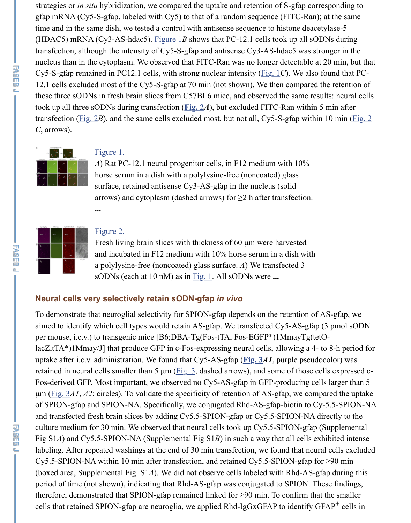transfection ( $\underline{Fig. 2B}$ ), and the same cells excluded most, but not all, Cy5-S-gfap with *C*, arrows).



#### Figure 1.

*A*) Rat PC-12.1 n[eural prog](https://www.ncbi.nlm.nih.gov/pmc/articles/PMC3545538/figure/F1/)enitor cells, in F12 medium with 10% horse serum in a dish with a polylysine-free (noncoated) glass surface, retained antisense Cy3-AS-gfap in the nu[cleus \(s](https://www.ncbi.nlm.nih.gov/pmc/articles/PMC3545538/figure/F1/)olid arrows) and cytoplasm (dashed arrows) for  $\geq 2$  h after transfection. **...**



下海<br>四<br>四

**子頭巾頭** 

#### [F](https://www.ncbi.nlm.nih.gov/pmc/articles/PMC3545538/figure/F2/)igure 2.

Fresh living brain slices with thickness of 60 µm were harvested and incubated in F12 medium with 10% horse serum in a dish with [a polylysi](https://www.ncbi.nlm.nih.gov/pmc/articles/PMC3545538/figure/F1/)ne-free (noncoated) glass surface. *A*) We transfected 3 sODNs (each at 10 nM) as in Fig. 1. All sODNs were **...**

### **[Neural cells v](https://www.ncbi.nlm.nih.gov/pmc/articles/PMC3545538/figure/F1/)ery selectively retain sODN-gfap** *in vivo*

To demonstrate that neuroglial selectivity for SPION-gfap depends on the retention of aimed to identify which cell types would retain AS-gfap. We transfected Cy5-AS-gfa per mouse, i.c.v.) to transgenic mice  $[B6;DBA-Tg(Fos-tTA, Fos-EGFP*)1MmayTg(t))$ [lacZ,tTA\\*\)1Mm](https://www.ncbi.nlm.nih.gov/pmc/articles/PMC3545538/figure/F2/)a[y/J\] that p](https://www.ncbi.nlm.nih.gov/pmc/articles/PMC3545538/figure/F2/)roduce GFP in c-Fos-expressing neural cells, allowing a  $4$ uptake after i.c.v. administration. We found that Cy5-AS-gfap (Fig. 3A1, purple pseu retained in neural cells smaller than 5  $\mu$ m (<u>Fig. 3</u>, dashed arrows), and some of those Fos-derived GFP. Most important, we observed no Cy5-AS-gfap in GFP-producing c  $\mu$ m (<u>Fig. 3</u>*A1*, *A2*; circles). To validate the spec[ificity](https://www.ncbi.nlm.nih.gov/pmc/articles/PMC3545538/figure/F1/) of retention of AS-gfap, we compared the uptake the uptake the uptake uptake the uptake the uptake the uptake the uptake the uptake the uptake the uptake th of SPION-gfap and SPION-NA. Specifically, we conjugated Rhd-AS-gfap-biotin to and transfected fresh brain slices by adding Cy5.5-SPION-gfap or Cy5.5-SPION-NA culture medium for 30 min. We observed that neural cells took up  $Cy5.5-SPION-gfa$ Fig S1A) and Cy5.5-SPION-NA (Supplemental Fig S1B) in such a way that all cells labeling. After repeated washings at the end of 30 min transfection, we found that ne  $Cy5.5-SPION-NA$  within 10 min after transfection, and retained  $Cy5.5-SPION-gfap$ (boxed area, Supplemental Fig.  $S1A$ ). We did not observe cells [labele](https://www.ncbi.nlm.nih.gov/pmc/articles/PMC3545538/figure/F3/)d with Rhd-AS-period of time (not shown), indicating that [Rhd-A](https://www.ncbi.nlm.nih.gov/pmc/articles/PMC3545538/figure/F3/)S-gfap was conjugated to SPION. therefore, demonstrated that SPION-gfap remained linked for  $\geq 90$  min. To confirm the cells [that re](https://www.ncbi.nlm.nih.gov/pmc/articles/PMC3545538/figure/F3/)tained SPION-gfap are neuroglia, we applied Rhd-IgGxGFAP to identify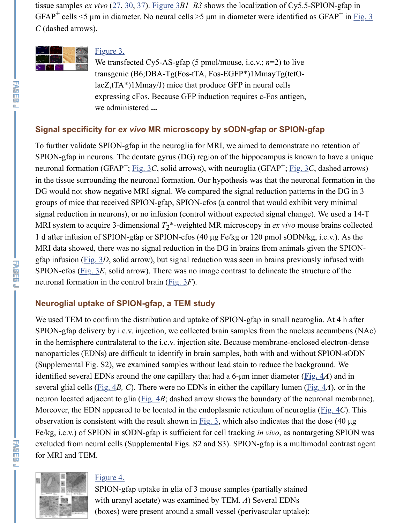## **Signal specificity f[or](https://www.ncbi.nlm.nih.gov/pmc/articles/PMC3545538/#B27)** *e[x v](https://www.ncbi.nlm.nih.gov/pmc/articles/PMC3545538/#B30)i[vo](https://www.ncbi.nlm.nih.gov/pmc/articles/PMC3545538/#B37)* **[MR micr](https://www.ncbi.nlm.nih.gov/pmc/articles/PMC3545538/figure/F3/)oscopy by sODN-gfap or SPION-gfap**

To further validate SPION-gfap in the neuroglia for MRI, we aimed to demonstrate no SPION-gfap in neurons. The dentate gyrus (DG) region of the hippocampus is known [neuronal format](https://www.ncbi.nlm.nih.gov/pmc/articles/PMC3545538/figure/F3/)io[n \(GFAP](https://www.ncbi.nlm.nih.gov/pmc/articles/PMC3545538/figure/F3/)<sup>-</sup>; <u>Fig. 3</u>C, solid arrows), with neuroglia (GFAP<sup>+</sup>; Fig. 3C in the tissue surrounding the neuronal formation. Our hypothesis was that the neuron DG would not show negative MRI signal. We compared the signal reduction patterns groups of mice that received SPION-gfap, SPION-cfos (a control that would exhibit signal reduction in neurons), or no infusion (control without expected signal change). MRI system to acquire 3-dimensional  $T_2^*$ -weighted MR microscopy in *ex vivo* mous 1 d after infusion of SPION-gfap or SPION-cfos (40 µg Fe/kg or 120 pmol sODN/kg MRI data showed, there was no signal reduction in the DG in brains from animals given gfap infusion (Fig. 3*D*, solid arrow), but signal reduction was seen in brains previous SPION-cfos (Fig.  $3E$ , solid arrow). There was no image contrast to delineate the structure of the structure of the structure of the structure of the structure of the structure of the structure of the structure of the str neuronal formation in the co[ntrol br](https://www.ncbi.nlm.nih.gov/pmc/articles/PMC3545538/figure/F3/)ain (Fig. 3*F*).

### **Neuroglial uptake of SPION-gfap, a TEM study**

We used TEM to confirm the distribution and uptake of SPION-gfap in small neurog SPION-gfap delivery by i.c.v. injection, we collected brain samples from the nucleus in the hemisphere contralateral to the i.c.v. injection site. Because membrane-enclose nanoparticles (EDNs) are difficult to identify in brain samples, both with and without (Supplemental Fig. S2), we examined samples without lead stain to reduce the background. We identified seve[ral ED](https://www.ncbi.nlm.nih.gov/pmc/articles/PMC3545538/figure/F3/)Ns around the one capillary that had a 6-µm inner diameter (**Fig.** 4<sup>*A*</sup>) and in several glial [cells \(F](https://www.ncbi.nlm.nih.gov/pmc/articles/PMC3545538/figure/F3/)ig. 4*B, C*). There were no EDNs in either the capillary lumen (Fig. 4*A*), or in the capillary lumen (Fig. 4*A*), or in the capillary lumen (Fig. 4*A*), or in the capillary lument (Fig. 4*A*), or in neuron located adjacent to glia ( $Fig. 4B$ ; [dashe](https://www.ncbi.nlm.nih.gov/pmc/articles/PMC3545538/figure/F3/)d arrow shows the boundary of the neuron Moreover, the EDN appeared to be located in the endoplasmic reticulum of neurogliant observation is consistent with the result shown in  $Fig. 3$ , which also indicates that the Fe/kg, i.c.v.) of SPION in sODN-gfap is sufficient for cell tracking *in vivo*, as nontargeting SPION in sODN-gfap is sufficient for cell tracking *in vivo*, as nontargently excluded from neural cells (Supplemental Figs. S2 and S3). SPION-gfap is a multimodular agents agents agents agents agents agents agents agents agents agents agents agents agents agents agents agents agents agents agents a for MRI and TEM.



**下半面而见** 

「いったいのです」<br>「いったいのです」<br>「いったい」

 $\epsilon$ 

#### Figure 4.

SPION-gfap uptake in glia of 3 mouse samples (partially staine[d](https://www.ncbi.nlm.nih.gov/pmc/articles/PMC3545538/figure/F4/) [with ur](https://www.ncbi.nlm.nih.gov/pmc/articles/PMC3545538/figure/F4/)anyl acetate) was examined by TEM. *A*) Several EDNs (boxes) were [presen](https://www.ncbi.nlm.nih.gov/pmc/articles/PMC3545538/figure/F4/)t around a small vessel (perivascular uptake[\);](https://www.ncbi.nlm.nih.gov/pmc/articles/PMC3545538/figure/F4/)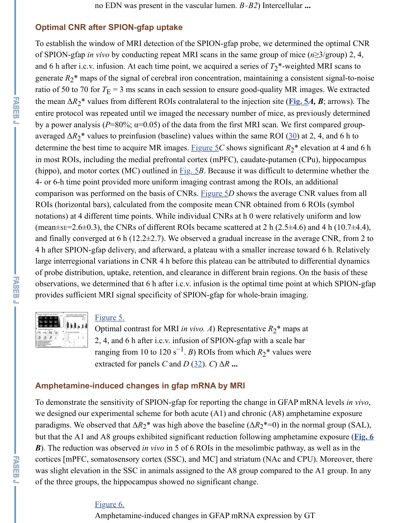entire protocol was repeated until we imaged the necessary number of mice, as previously determined by a power analysis ( $P=80\%$ ;  $\alpha=0.05$ ) of the data from the first MRI scan. We first compared groupaveraged  $\Delta R_2^*$  values to preinfusion (baseline) values within the same ROI (30) at 2, determine the best time to acquire MR images. Figure  $5C$  shows significant  $R_2^*$  elev in most ROIs, including the medial prefrontal cortex (mPFC), caudate-putamen (CPu) (hippo), and motor cortex (MC) outlined in  $\underline{Fig. 5}B$ . Because it was difficult to determine the 4- or 6-h time point provided more uniform imaging contrast among the ROIs, an additional comparison was performed on the basis of CNRs. Figure 5*D* shows the average CNR ROIs (horizontal bars), calculated from the composite mean CNR obtained from 6 R notations) at 4 different time points. While individual CNRs at h 0 were relat[ively u](https://www.ncbi.nlm.nih.gov/pmc/articles/PMC3545538/figure/F5/)n (mean $\pm$ sE=2.6 $\pm$ 0.3), the CNRs of different ROIs became scattered at 2 h (2.5 $\pm$ 4.6) and and finally converged at 6 h (12.2 $\pm$ 2.7). We observed a gradual increase in the average 4 h after SPION-gfap delivery, and afterward, a plateau with a smaller increa[se](https://www.ncbi.nlm.nih.gov/pmc/articles/PMC3545538/#B30) toward large interregional variations in CNR 4 h befor[e this pla](https://www.ncbi.nlm.nih.gov/pmc/articles/PMC3545538/figure/F5/)teau can be attributed to differential dynamics. of probe distribution, uptake, retention, and clearance in different brain regions. On the basis of the basis of the basis of the basis of the basis of the basis of the basis of the basis of the basis of the basis of the b observations, we determined that 6 h after i[.c.v. in](https://www.ncbi.nlm.nih.gov/pmc/articles/PMC3545538/figure/F5/)fusion is the optimal time point at which  $\alpha$ provides sufficient MRI signal specificity of SPION-gfap for whole-brain imaging.



#### Figure 5.

Optimal contrast for MRI *in vivo. A*) Representative  $R_2^*$  maps at 2, 4, and 6 h after i.c.v. infusion of SPION-gfap with a scale bar ranging from 10 to 120 s<sup>-1</sup>. *B*) ROIs from which  $R_2$ <sup>\*</sup> values were extracted for panels *C* and  $D$  (32). *C*)  $\Delta R$  ... 2

## **Amphetamine-induced changes in gfap mRNA by MRI**

To demonstrate the sensitivity of SPION-gfap for reporting the change in GFAP mRN we designed our experimental scheme for both acute  $(A1)$  and chronic  $(A8)$  ampheta paradigms. We observed that  $\Delta R_2^*$  was high above the baseline ( $\Delta R_2^*$ =0) in the norm [but that the A1 a](https://www.ncbi.nlm.nih.gov/pmc/articles/PMC3545538/figure/F5/)n[d A8 grou](https://www.ncbi.nlm.nih.gov/pmc/articles/PMC3545538/figure/F5/)ps exhibited significant reduction following amphetamin *B*). The reduction was observed *in vivo* in 5 of 6 ROIs in the mesolimbic pathway, as cortices [mPFC, somatosensory cortex (SSC), and MC] and striatum (NAc and CPU). was slight elevation in the SSC in animals assigned to the A8 group compared to the of the three groups, the hippocampus showed n[o sig](https://www.ncbi.nlm.nih.gov/pmc/articles/PMC3545538/#B32)nificant change.

### Figure 6.

Amphetamine-induced changes in GFAP mRNA expression by GT

属恩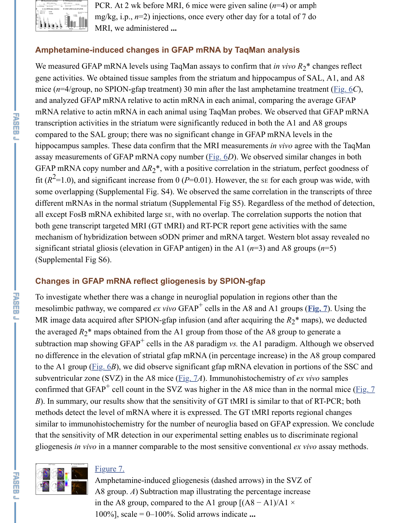[transcription act](https://www.ncbi.nlm.nih.gov/pmc/articles/PMC3545538/figure/F6/)ivities in the striatum were significantly reduced in both the A1 and  $\Lambda$ compared to the SAL group; there was no significant change in GFAP mRNA levels hippocampus samples. These data confirm that the MRI measurements *in vivo* agree assay measurements of GFAP mRNA copy number (*Fig. 6D*). We observed similar changes GFAP mRNA copy number and  $\Delta R_2^*$ , with a positive correlation in the striatum, per fit ( $R^2$ =1.0), and significant increase from 0 ( $P$ =0.01). However, the se for each grou some overlapping (Supplemental Fig. S4). We observed the same correlation in the tra different mRNAs in the normal striatum (Supplemental Fig S5). Regardless of the method all except FosB mRNA exhibited large SE, with no overlap. The correlation supports both gene transcript targeted MRI (GT tMRI) and RT-PCR report gene activities with mechanism of hybridization between sODN primer and mRNA target. Western blot a significant striatal gliosis (elevation in GFAP antigen) in the A1  $(n=3)$  and A8 groups (Supplemental Fig S6).

## **Changes in GFAP mRNA reflect gliogenesis [by SP](https://www.ncbi.nlm.nih.gov/pmc/articles/PMC3545538/figure/F6/)ION-gfap**

To investigate whether there was a change in neuroglial population in regions other the mesolimbic pathway, we compared *ex vivo* GFAP<sup>+</sup> cells in the A8 and A1 groups (**Fi** MR image data acquired after SPION-gfap infusion (and after acquiring the  $R_2^*$  map the averaged  $R_2^*$  maps obtained from the A1 group from those of the A8 group to ge subtraction map showing  $GFAP^+$  cells in the A8 paradigm *vs.* the A1 paradigm. Alth no difference in the elevation of striatal gfap mRNA (in percentage increase) in the A to the A1 group ( $\underline{Fig. 6B}$ ), we did observe significant gfap mRNA elevation in portions subventricular zone (SVZ) in the A8 mice (*Fig. 7A*). Immunohistochemistry of *ex viv* confirmed that  $GFAP^+$  cell count in the SVZ was higher in the A8 mice than in the normal mean-*B*). In summary, our results show that the sensitivity of GT tMRI is similar to that of methods detect the level of mRNA where it is expressed. The GT tMRI reports regional similar to immunohistochemistry for the number of neuroglia based on GFAP expres that the sensitivity of MR detection in our experimental setting enables us to discriminate regional  $\alpha$ gliogenesis *in vivo* in a manner comparable to the most sensitive conventional ex vivo



### Figure 7.

[Amp](https://www.ncbi.nlm.nih.gov/pmc/articles/PMC3545538/figure/F6/)hetamine-induced gliogenesis (dashed arrows) in the SVZ of A8 group. *A*) Subtraction [map i](https://www.ncbi.nlm.nih.gov/pmc/articles/PMC3545538/figure/F7/)llustrating the percentage increase in the A8 group, compared to the A1 group  $[(A8 - A1)/A] \times$ 100%], scale = 0–100%. Solid arrows indicate **...**

不成而见

 $\epsilon$ 

平面而见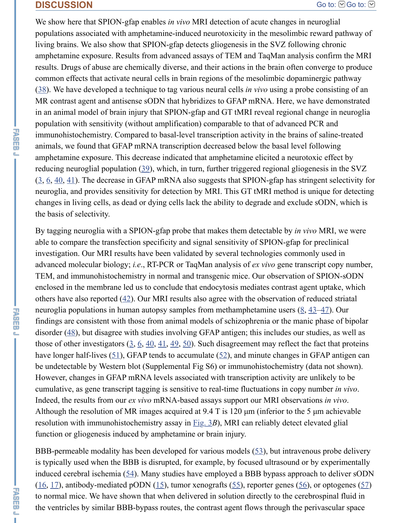population with sensitivity (without amplification) comparable to that of advanced P immunohistochemistry. Compared to basal-level transcription activity in the brains of animals, we found that GFAP mRNA transcription decreased below the basal level fo amphetamine exposure. This decrease indicated that amphetamine elicited a neurotox reducing neuroglial population (39), which, in turn, further triggered regional gliogenesis of  $(3, 6, 40, 41)$ . The decrease in GFAP mRNA also suggests that SPION-gfap has string neuroglia, and provides sensitivity for detection by MRI. This GT tMRI method is un [cha](https://www.ncbi.nlm.nih.gov/pmc/articles/PMC3545538/#B38)nges in living cells, as dead or dying cells lack the ability to degrade and exclude the basis of selectivity.

子頭巾頭

<u>e </u>

前頭

By tagging neuroglia with a SPION-gfap probe that makes them detectable by *in vivo* able to compare the transfection specificity and signal sensitivity of SPION-gfap for investigation. Our MRI results have been validated by several technologies commonly advanced molecular biology; *i.e.*, RT-PCR or TaqMan analysis of *ex vivo* gene transc TEM, and immunohistochemistry in normal and transgenic mice. Our observation of enclosed in the membrane led u[s to](https://www.ncbi.nlm.nih.gov/pmc/articles/PMC3545538/#B39) conclude that endocytosis mediates contrast agent [oth](https://www.ncbi.nlm.nih.gov/pmc/articles/PMC3545538/#B3)[er](https://www.ncbi.nlm.nih.gov/pmc/articles/PMC3545538/#B6)[s ha](https://www.ncbi.nlm.nih.gov/pmc/articles/PMC3545538/#B40)[ve](https://www.ncbi.nlm.nih.gov/pmc/articles/PMC3545538/#B41) also reported  $(42)$ . Our MRI results also agree with the observation of reduced striatal neuroglia populations in human autopsy samples from methamphetamine users  $(8, 4)$ . findings are consistent with those from animal models of schizophrenia or the manic disorder  $(48)$ , but disagree with studies involving GFAP antigen; this includes our studies those of other investigators  $(3, 6, 40, 41, 49, 50)$ . Such disagreement may reflect the have longer half-lives  $(51)$ , GFAP tends to accumulate  $(52)$ , and minute changes in G be undetectable by Western blot (Supplemental Fig S6) or immunohistochemistry (data However, changes in GFAP mRNA levels associated with transcription activity are u cumulative, as gene transcript tagging is sensitive to real-time fluctuations in copy nu Indeed, the results from our *ex vivo* mRNA-based assays support our MRI observations Although the resolution o[f M](https://www.ncbi.nlm.nih.gov/pmc/articles/PMC3545538/#B42)R images acquired at 9.4 T is 120  $\mu$ m (inferior to the 5 µm resolution with immunohistochemistry assay in  $Fig. 3B$ ), MRI can reliably detec[t e](https://www.ncbi.nlm.nih.gov/pmc/articles/PMC3545538/#B8)le function or gliogenesis induced by amphetamine or brain injury.

BBB-per[mea](https://www.ncbi.nlm.nih.gov/pmc/articles/PMC3545538/#B48)ble modality has been developed for various models  $(53)$ , but intravenous is typically used when the [B](https://www.ncbi.nlm.nih.gov/pmc/articles/PMC3545538/#B3)B[B i](https://www.ncbi.nlm.nih.gov/pmc/articles/PMC3545538/#B6)[s di](https://www.ncbi.nlm.nih.gov/pmc/articles/PMC3545538/#B40)[srup](https://www.ncbi.nlm.nih.gov/pmc/articles/PMC3545538/#B41)[ted](https://www.ncbi.nlm.nih.gov/pmc/articles/PMC3545538/#B49), [for](https://www.ncbi.nlm.nih.gov/pmc/articles/PMC3545538/#B50) example, by focused ultrasound or b induced cerebral ische[mia](https://www.ncbi.nlm.nih.gov/pmc/articles/PMC3545538/#B51)  $(54)$ . Many studies have emp[loy](https://www.ncbi.nlm.nih.gov/pmc/articles/PMC3545538/#B52)ed a BBB bypass approach  $(16, 17)$ , antibody-mediated pODN  $(15)$ , tumor xenografts  $(55)$ , reporter genes  $(56)$ , to normal mice. We have shown that when delivered in solution directly to the cerebr the ventricles by similar BBB-bypass routes, the contrast agent flows through the per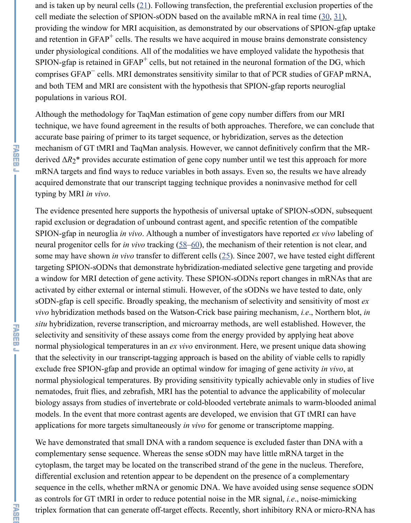Although the methodology for TaqMan estimation of gene copy number differs from technique, we have found agree[me](https://www.ncbi.nlm.nih.gov/pmc/articles/PMC3545538/#B21)nt in the results of both approaches. Therefore, we accurate base pairing of primer to its target sequence, or hybridizat[ion](https://www.ncbi.nlm.nih.gov/pmc/articles/PMC3545538/#B31), serves as the mechanism of GT tMRI and TaqMan analysis. However, we cannot definitively conf derived  $\Delta R_2^*$  provides accurate estimation of gene copy number until we test this ap mRNA targets and find ways to reduce variables in both assays. Even so, the results we acquired demonstrate that our transcript tagging technique provides a noninvasive method typing by MRI *in vivo*.

The evidence presented here supports the hypothesis of universal uptake of SPION-s rapid exclusion or degradation of unbound contrast agent, and specific retention of the SPION-gfap in neuroglia *in vivo*. Although a number of investigators have reported  $\epsilon$ neural progenitor cells for *in vivo* tracking (58–60), the mechanism of their retention some may have shown *in vivo* transfer to different cells (25). Since 2007, we have test targeting SPION-sODNs that demonstrate hybridization-mediated selective gene targeting and provided and provided and provided selective gene targeting and provided and provided and provided selective gene targeting and pro a window for MRI detection of gene activity. These SPION-sODNs report changes in activated by either external or internal stimuli. However, of the sODNs we have tested to date, only to date,  $\alpha$ sODN-gfap is cell specific. Broadly speaking, the mechanism of selectivity and sensitivity *vivo* hybridization methods based on the Watson-Crick base pairing mechanism, *i.e.*, *situ* hybridization, reverse transcription, and microarray methods, are well established selectivity and sensitivity of these assays come from the energy provided by applying normal physiological temperatures in an *ex vivo* environment. Here, we present unique that the selectivity in our transcript-tagging [ap](https://www.ncbi.nlm.nih.gov/pmc/articles/PMC3545538/#B58)[proa](https://www.ncbi.nlm.nih.gov/pmc/articles/PMC3545538/#B60)ch is based on the ability of viable exclude free SPION-gfap and provide an optimal windo[w f](https://www.ncbi.nlm.nih.gov/pmc/articles/PMC3545538/#B25)or imaging of gene activit normal physiological temperatures. By providing sensitivity typically achievable only nematodes, fruit flies, and zebrafish, MRI has the potential to advance the applicability biology assays from studies of invertebrate or cold-blooded vertebrate animals to wardmodels. In the event that more contrast agents are developed, we envision that GT tM applications for more targets simultaneously *in vivo* for genome or transcriptome map

We have demonstrated that small DNA with a random sequence is excluded faster that complementary sense sequence. Whereas the sense sODN may have little mRNA target cytoplasm, the target may be located on the transcribed strand of the gene in the nucleus. differential exclusion and retention appear to be dependent on the presence of a comp sequence in the cells, whether mRNA or genomic DNA. We have avoided using sens as controls for GT tMRI in order to reduce potential noise in the MR signal, *i.e.*, nois triplex formation that can generate off-target effects. Recently, short inhibitory RNA

下海面風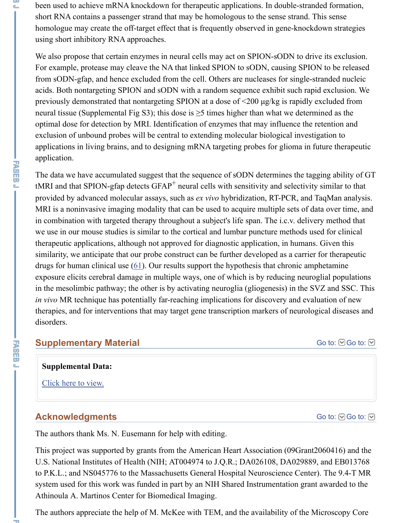$\sim$  5 tissue (Supplemental Fig. S); this dose is  $\sim$  5 times higher than what we determined as the what we determined as the what we determined as the what we determined as the what we determined as the westermined as t optimal dose for detection by MRI. Identification of enzymes that may influence the exclusion of unbound probes will be central to extending molecular biological invest applications in living brains, and to designing mRNA targeting probes for glioma in f application.

The data we have accumulated suggest that the sequence of sODN determines the tag tMRI and that SPION-gfap detects  $GFAP^+$  neural cells with sensitivity and selectivity provided by advanced molecular assays, such as *ex vivo* hybridization, RT-PCR, and MRI is a noninvasive imaging modality that can be used to acquire multiple sets of d in combination with targeted therapy throughout a subject's life span. The i.c.v. deliver we use in our mouse studies is similar to the cortical and lumbar puncture methods used for clinical for clinical for clinical and lumbar puncture methods used  $\mu$ therapeutic applications, although not approved for diagnostic application, in humans. similarity, we anticipate that our probe construct can be further developed as a carrier drugs for human clinical use  $(61)$ . Our results support the hypothesis that chronic am exposure elicits cerebral damage in multiple ways, one of which is by reducing neuroglia in the mesolimbic pathway; the other is by activating neuroglia (gliogenesis) in the S *in vivo* MR technique has potentially far-reaching implications for discovery and evaluation therapies, and for interventions that may target gene transcription markers of neurologie disorders.

不安的印度

# **Supplementary Material**

### **Supplemental Data:**

Click here to view.

## **Acknowledgments**

The authors thank Ms. N. Eusemann for help with editing.

This project was supported by grants from the American Heart Association (09Grant U.S. National Institutes of Health (NIH; AT004974 to J.Q.R.; DA026108, DA029889 to P.K.L.; and NS045776 to the Massachusetts General Hospital Neuroscience Center system used for this work was funded in part by an NIH Shared Instrumentation gran A[thinoula A. Martino](https://www.ncbi.nlm.nih.gov/pmc/articles/PMC3545538/bin/supp_27_2_712__index.html)s Center for Biomedical Imaging.

The authors appreciate the help of M. McKee with TEM, and the availability of the N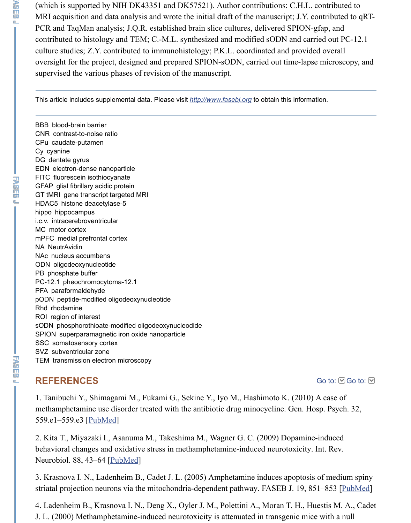BBB blood-brain barrier CNR contrast-to-noise ratio CPu caudate-putamen Cy cyanine DG dentate gyrus EDN electron-dense nanoparticle FITC fluorescein isothiocyanate GFAP glial fibrillary acidic protein GT tMRI gene transcript targeted MRI HDAC5 histone deacetylase-5 hippo hippocampus i.c.v. intracerebroventricular MC motor cortex mPFC medial prefrontal cortex NA NeutrAvidin NAc nucleus accumbens ODN oligodeoxynucleotide PB phosphate buffer PC-12.1 pheochromocytoma-12.1 PFA paraformaldehyde pODN peptide-modified oligodeoxynucleotide Rhd rhodamine ROI region of interest sODN phosphorothioate-modified oligodeoxynucleodide SPION superparamagnetic iron oxide nanoparticle SSC somatosensory cortex SVZ subventricular zone TEM transmission electron microscopy

# **REFERENCES**

1. Tanibuchi Y., Shimagami M., Fukami G., Sekine Y., Iyo M., Hashimoto K. (2010) methamphetamine use disorder treated with the antibiotic drug minocycline. Gen. Ho 559.e1–559.e3 [PubMed]

2. Kita T., Miyazaki I., Asanuma M., Takeshima M., Wagner G. C. (2009) Dopamine behavioral changes and oxidative stress in methamphetamine-induced neurotoxicity. Neurobiol. 88, 43–64 [PubMed]

3. Krasnova I. N., Ladenheim B., Cadet J. L. (2005) Amphetamine induces apoptosis striatal projection neurons via the mitochondria-dependent pathway. FASEB J. 19, 85

4. Ladenheim B., Krasnova I. N., Deng X., Oyler J. M., Polettini A., Moran T. H., Hu J. L. (2000) Methamphetamine-induced neurotoxicity is attenuated in transgenic mic

平面而见

 $\epsilon$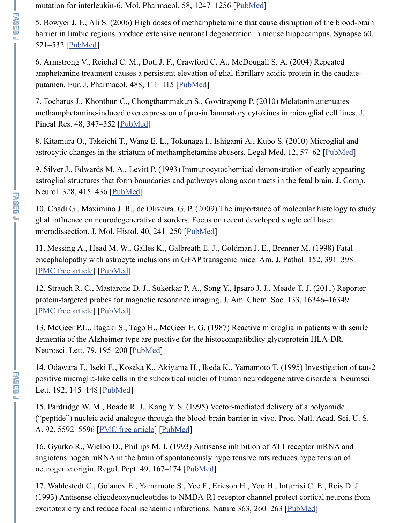methamphetamine-induced overexpression of pro-inflammatory cytokines in microglial cell lines. J. Pineal Res. 48, 347–352 [*PubMed*]

8. Kitamura O., Takeichi T., Wang E. L., Tokunaga I., Ishigami A., Kubo S. (2010) M astrocytic changes in the striatum of methamphetamine abusers. Legal Med. 12,  $57-6$ 

9. Silver J[., Edward](https://www.ncbi.nlm.nih.gov/pubmed/16952162)s M. A., Levitt P. (1993) Immunocytochemical demonstration of astroglial structures that form boundaries and pathways along axon tracts in the fetal Neurol. 328, 415–436 [PubMed]

10. Chadi G., Maximino J. R., de Oliveira. [G. P. \(200](https://www.ncbi.nlm.nih.gov/pubmed/15044042)9) The importance of molecular glial influence on neurodegenerative disorders. Focus on recent developed single cell microdissection. J. Mol. Histol. 40, 241–250 [PubMed]

11. Messing A., Head M. [W., Galle](https://www.ncbi.nlm.nih.gov/pubmed/20374443)s K., Galbreath E. J., Goldman J. E., Brenner M. (1998) encephalopathy with astrocyte inclusions in GFAP transgenic mice. Am. J. Pathol. 15 [PMC free article] [PubMed]

12. Strauch R. C., Mastarone D. J., Sukerkar P. A., Song Y., Ipsaro J. J., Meade T. J. (2011) protein-targeted probes for magnetic resonance imaging. J. Am. Chem. Soc. 133, 163 [PMC free article] [Pu[bMed\]](https://www.ncbi.nlm.nih.gov/pubmed/8440789)

13. McGeer P.L., Itagaki S., Tago H., McGeer E. G. (1987) Reactive microglia in pat dementia of the Alzheimer type are positive f[or the his](https://www.ncbi.nlm.nih.gov/pubmed/19882358)tocompatibility glycoprotein H Neurosci. Lett. 79, 195–200 [PubMed]

14. Odawara T., Iseki E., Kosaka K., Akiyama H., Ikeda K., Yamamoto T. (1995) Inv positive microglia-like cells in the subcortical nuclei of human neurodegenerative dis Lett. [192, 145–14](https://www.ncbi.nlm.nih.gov/pmc/articles/PMC1857948/)8 [\[PubMed](https://www.ncbi.nlm.nih.gov/pubmed/9466565)]

15. Pardridge W. M., Boado R. J., Kang Y. S. (1995) Vector-mediated delivery of a p ("peptide") nucleic acid analogue through the blood-brain barrier in vivo. Proc. Natl. A. [92, 5592–5596](https://www.ncbi.nlm.nih.gov/pmc/articles/PMC3203639/) [[PMC free](https://www.ncbi.nlm.nih.gov/pubmed/21942425) article] [PubMed]

16. Gyurko R., Wielbo D., Phillips M. I. (1993) Antisense inhibition of AT1 receptor angiotensinogen mRNA in the brain of spontaneously hypertensive rats reduces hype neurogenic origin. Regul. Pept. [49, 16](https://www.ncbi.nlm.nih.gov/pubmed/3670729)7–174 [PubMed]

17. Wahlestedt C., Golanov E., Yamamoto S., Yee F., Ericson H., Yoo H., Inturrisi C. (1993) Antisense oligodeoxynucleotides to NMDA-R1 receptor channel protect corti excitotoxicity and r[educe foc](https://www.ncbi.nlm.nih.gov/pubmed/7566636)al ischaemic infarctions. Nature 363, 260–263 [PubMed]]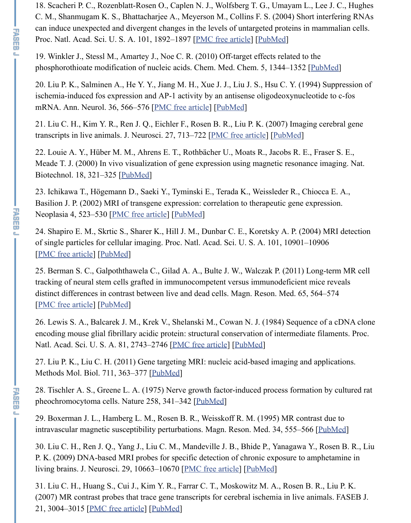21. Liu C. H., Kim Y. R., Ren J. Q., Eichler F., Rosen B. R., Liu P. K. (2007) Imaging transcripts in live animals. J. Neurosci. 27, 713–722 [PMC free article] [PubMed]

22. Louie A. Y., Hüber M. M., Ahrens E. T., Rot[hbächer U., Moat](https://www.ncbi.nlm.nih.gov/pmc/articles/PMC357023/)s [R., Jacob](https://www.ncbi.nlm.nih.gov/pubmed/14769924)s R. E., Meade T. J. (2000) In vivo visualization of gene expression using magnetic resonance Biotechnol. 18, 321–325 [PubMed]

23. Ichikawa T., Högemann D., Saeki Y., Tyminski E., Terada K., Weissleder R., Chi Basilion J. P. (2002) MRI of transgene expression: correlation to therapeutic gene expression. Neoplasia 4, 523–530 [PMC free article] [PubMed]

24. Shapiro E. M., Skrtic S., Sharer [K., Hill J. M., Du](https://www.ncbi.nlm.nih.gov/pmc/articles/PMC2714915/)n[bar C. E.](https://www.ncbi.nlm.nih.gov/pubmed/7944289), Koretsky A. P. (200 of single particles for cellular imaging. Proc. Natl. Acad. Sci. U. S. A. 101, 10901–10 [PMC free article] [PubMed]

25. Berman S. C., Galpoththawela C., Gilad A. A., Bulte J. W., Walczak P. (2011) Lo tracking of neural stem cells grafted in immunocompetent versus immunodeficient m distinct differences in con[trast betw](https://www.ncbi.nlm.nih.gov/pubmed/10700150)een live and dead cells. Magn. Reson. Med. 65, 5 [PMC free article] [PubMed]

26. Lewis S. A., Balcarek J. M., Krek V., Shelanski M., Cowan N. J. (1984) Sequenc encoding mouse glial f[ibrillary acidic pr](https://www.ncbi.nlm.nih.gov/pmc/articles/PMC1503666/)ot[ein: struc](https://www.ncbi.nlm.nih.gov/pubmed/12407446)tural conservation of intermediate Natl. Acad. Sci. U. S. A. 81, 2743–2746 [PMC free article] [PubMed]

27. Liu P. K., Liu C. H. (2011) Gene targeting MRI: nucleic acid-based imaging and [Methods Mol. Bio](https://www.ncbi.nlm.nih.gov/pmc/articles/PMC503717/)l. [711, 363](https://www.ncbi.nlm.nih.gov/pubmed/15256592)–377 [PubMed]

28. Tischler A. S., Greene L. A. (1975) Nerve growth factor-induced process formati pheochromocytoma cells. Nature 258, 341–342 [PubMed]

[29. Boxerman J. L](https://www.ncbi.nlm.nih.gov/pmc/articles/PMC3031985/).[, Hamber](https://www.ncbi.nlm.nih.gov/pubmed/20928883)g L. M., Rosen B. R., Weisskoff R. M. (1995) MR contra intravascular magnetic susceptibility perturbations. Magn. Reson. Med. 34, 555-566

30. Liu C. H., Ren J. Q., Yang J., Liu C. M., Mandeville J. B., Bhide P., Yanagawa Y. P. K. (2009) DNA-based MRI probes for [specific detection](https://www.ncbi.nlm.nih.gov/pmc/articles/PMC345146/) [of chronic](https://www.ncbi.nlm.nih.gov/pubmed/6585825) exposure to an living brains. J. Neurosci. 29, 10663–10670 [PMC free article] [PubMed]

31. Liu C. H., Huang S., Cui J., Ki[m Y. R., F](https://www.ncbi.nlm.nih.gov/pubmed/21279612)arrar C. T., Moskowitz M. A., Rosen B.  $(2007)$  MR contrast probes that trace gene transcripts for cerebral ischemia in live an 21, 3004–3015 [PMC free article] [PubMed]

下海<br>四<br>四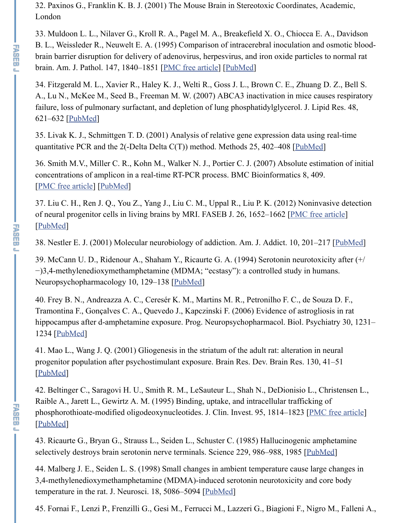$621 - 632$  | PubMed

35. Livak K. J., Schmittgen T. D. (2001) Analysis of relative gene expression data us quantitative PCR and the 2(-Delta Delta C(T)) method. Methods 25, 402–408 [PubM

36. Smith M.V., Miller C. R., Kohn M., Walker N. J., Portier C. J. (2007) Absolute estimation concentrations of amplicon in a real-time RT-PCR process. BMC Bioinformatics 8, 4 [PMC free article] [PubMed]

37. Liu C. H., Ren J. Q., You Z., Yang J., Liu C. M., Uppal R., Liu P. K. (2012) Noni of neural progenitor cells in living brains by MRI. FASEB J. 26, 1652–1662 [PMC fi [PubMed]

38. Nestle[r E. J. \(2](https://www.ncbi.nlm.nih.gov/pubmed/17142808)001) Molecular neurobiology of addiction. Am. J. Addict. 10, 201–

39. McCann U. D., Ridenour A., Shaham Y., Ricaurte G. A. (1994) Serotonin neurotori −)3,4-methylenedioxymethamphetamine (MDMA; "ecstasy"): a controlled study in l Neuropsychopharmacology 10, 129–138 [PubMed]

[40. Frey B. N., An](https://www.ncbi.nlm.nih.gov/pmc/articles/PMC2194744/)[dreazza A](https://www.ncbi.nlm.nih.gov/pubmed/17956631). C., Ceresér K. M., Martins M. R., Petronilho F. C., de S. Tramontina F., Gonçalves C. A., Quevedo J., Kapczinski F. (2006) Evidence of astrogliosis in ratio. hippocampus after d-amphetamine exposure. Prog. Neuropsychopharmacol. Biol. Ps [1234 \[Pub](https://www.ncbi.nlm.nih.gov/pubmed/22198388)Med]

41. Mao L., Wang J. Q. (2001) Gliogenesis in the striatum of the adult rat: alteration progenitor population after psychostimulant exposure. Brain Res. Dev. Brain Res. 13 [PubMed]

42. Beltinger C., Saragovi H. U., Smith R. M., LeSauteur L., Shah N., DeDionisio L. Raible A., Jarett L., Gewirtz A. M. (1995) [Binding](https://www.ncbi.nlm.nih.gov/pubmed/7517677), uptake, and intracellular trafficki phosphorothioate-modified oligodeoxynucleotides. J. Clin. Invest. 95, 1814–1823 [P [PubMed]

43. Ricaurte G., Bryan G., Strauss L., Seiden L., Schuster C. (1985) Hallucinogenic amphetamine selecti[vely dest](https://www.ncbi.nlm.nih.gov/pubmed/16631293)roys brain serotonin nerve terminals. Science 229, 986–988, 1985 [ $Pu$ 

44. Malberg J. E., Seiden L. S. (1998) Small changes in ambient temperature cause la 3,4-methylenedioxymethamphetamine (MDMA)-induced serotonin neurotoxicity and t[emperatu](https://www.ncbi.nlm.nih.gov/pubmed/11557092)re in the rat. J. Neurosci. 18, 5086–5094 [PubMed]

45. Fornai F., Lenzi P., Frenzilli G., Gesi M., Ferrucci M., Lazzeri G., Biagioni F., Ni

「「今頭巾の」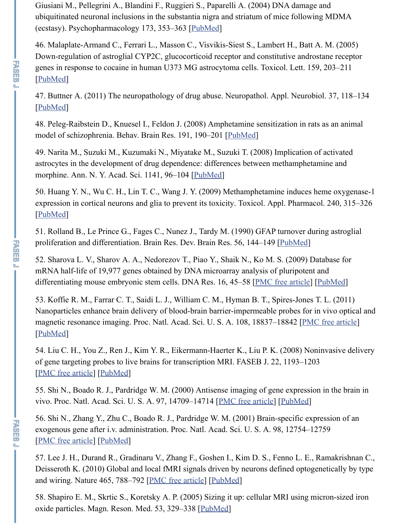48. Peleg-Raibstein D., Knuesel I., Feldon J. (2008) Amphetamine sensitization in ra model of schizophrenia. Behav. Brain Res. 191, 190–201 [PubMed]

49. Narita M., Suzuki M., Kuzumaki N., Miyat[ake M., S](https://www.ncbi.nlm.nih.gov/pubmed/14673567)uzuki T. (2008) Implication astrocytes in the development of drug dependence: differences between methampheta morphine. Ann. N. Y. Acad. Sci. 1141, 96–104 [PubMed]

[50. Huang](https://www.ncbi.nlm.nih.gov/pubmed/16188404) Y. N., Wu C. H., Lin T. C., Wang J. Y. (2009) Methamphetamine induces expression in cortical neurons and glia to prevent its toxicity. Toxicol. Appl. Pharmac [PubMed]

[51. Rollan](https://www.ncbi.nlm.nih.gov/pubmed/20946118)d B., Le Prince G., Fages C., Nunez J., Tardy M. (1990) GFAP turnover du proliferation and differentiation. Brain Res. Dev. Brain Res. 56, 144–149 [PubMed]

52. Sharova L. V., Sharov A. A., Nedorezov T., Piao Y., S[haik N., K](https://www.ncbi.nlm.nih.gov/pubmed/18486243)o M. S. (2009) D mRNA half-life of 19,977 genes obtained by DNA microarray analysis of pluripotent differentiating mouse embryonic stem cells. DNA Res.  $16, 45-58$  [PMC free article]

1249年の「四、七

**下降的问题** 

53. Koffie R. M., Farrar C. T., Saidi L. J., William C. M., Hyman B. T., Spires-Jones Nanoparticles enhance brain delivery of blood-brain barrier-impermeable probes for magnetic resonance imaging. Proc. Natl. Acad. Sci. U. S. A. 108, 18837–18842 [PM [\[PubMed](https://www.ncbi.nlm.nih.gov/pubmed/19576919)]

54. Liu C. H., You Z., Ren J., Kim Y. R., Eikermann-Haerter K., Liu P. K. (2008) No of gene targeting probes to live brains for transcription MRI. FASEB J. 22, 1193-1203 [PMC free article] [PubMed]

55. Shi N., Boado R. J., Pardridge W. M. (2000) Antisense imaging of gene expression vivo. Proc. Natl. Acad. Sci. U. S. A. 97, 14709–14714 [PMC free article] [\[PubMed\]](https://www.ncbi.nlm.nih.gov/pmc/articles/PMC2644350/)

56. Shi N., Zhang Y., Zhu C., Boado R. J., Pardridge W. M. (2001) Brain-specific exp exogenous gene after i.v. administration. Proc. Natl. Acad. Sci. U. S. A. 98, 12754-1 [PMC free article] [PubMed]

[57. Lee J.](https://www.ncbi.nlm.nih.gov/pubmed/22065785) H., Durand R., Gradinaru V., Zhang F., Goshen I., Kim D. S., Fenno L. E., Deisseroth K. (2010) Global and local fMRI signals driven by neurons defined optog and wiring. Nature 465, 788–792 [PMC free article] [PubMed]

[58. Shapiro E. M.](https://www.ncbi.nlm.nih.gov/pmc/articles/PMC2648863/), [Skrtic S.,](https://www.ncbi.nlm.nih.gov/pubmed/18029447) Koretsky A. P. (2005) Sizing it up: cellular MRI using n oxide particles. Magn. Reson. Med. 53, 329–338 [PubMed]